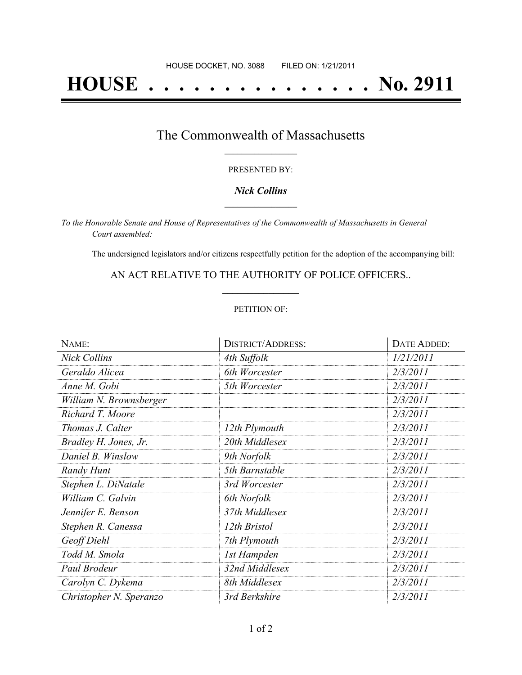# **HOUSE . . . . . . . . . . . . . . . No. 2911**

### The Commonwealth of Massachusetts **\_\_\_\_\_\_\_\_\_\_\_\_\_\_\_\_\_**

#### PRESENTED BY:

#### *Nick Collins* **\_\_\_\_\_\_\_\_\_\_\_\_\_\_\_\_\_**

*To the Honorable Senate and House of Representatives of the Commonwealth of Massachusetts in General Court assembled:*

The undersigned legislators and/or citizens respectfully petition for the adoption of the accompanying bill:

AN ACT RELATIVE TO THE AUTHORITY OF POLICE OFFICERS.. **\_\_\_\_\_\_\_\_\_\_\_\_\_\_\_**

#### PETITION OF:

| NAME:                   | <b>DISTRICT/ADDRESS:</b> | <b>DATE ADDED:</b> |
|-------------------------|--------------------------|--------------------|
| <b>Nick Collins</b>     | 4th Suffolk              | 1/21/2011          |
| Geraldo Alicea          | 6th Worcester            | 2/3/2011           |
| Anne M. Gobi            | 5th Worcester            | 2/3/2011           |
| William N. Brownsberger |                          | 2/3/2011           |
| Richard T. Moore        |                          | 2/3/2011           |
| Thomas J. Calter        | 12th Plymouth            | 2/3/2011           |
| Bradley H. Jones, Jr.   | 20th Middlesex           | 2/3/2011           |
| Daniel B. Winslow       | 9th Norfolk              | 2/3/2011           |
| Randy Hunt              | 5th Barnstable           | 2/3/2011           |
| Stephen L. DiNatale     | 3rd Worcester            | 2/3/2011           |
| William C. Galvin       | 6th Norfolk              | 2/3/2011           |
| Jennifer E. Benson      | 37th Middlesex           | 2/3/2011           |
| Stephen R. Canessa      | 12th Bristol             | 2/3/2011           |
| Geoff Diehl             | 7th Plymouth             | 2/3/2011           |
| Todd M. Smola           | 1st Hampden              | 2/3/2011           |
| Paul Brodeur            | 32nd Middlesex           | 2/3/2011           |
| Carolyn C. Dykema       | 8th Middlesex            | 2/3/2011           |
| Christopher N. Speranzo | 3rd Berkshire            | 2/3/2011           |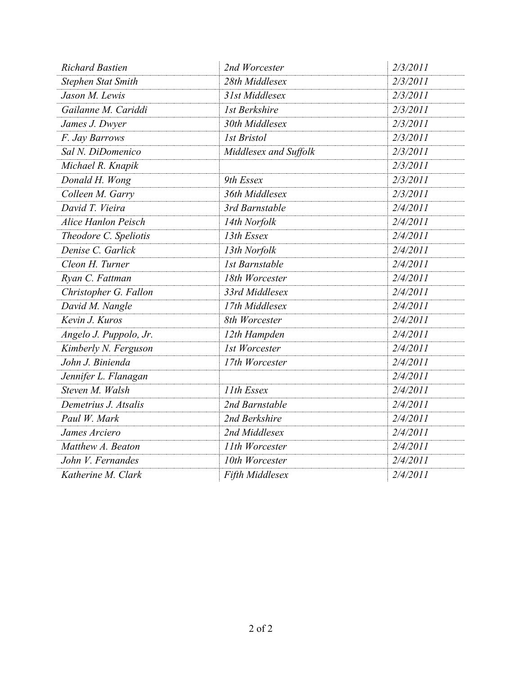| <b>Richard Bastien</b>     | 2nd Worcester         | 2/3/2011 |
|----------------------------|-----------------------|----------|
| <b>Stephen Stat Smith</b>  | 28th Middlesex        | 2/3/2011 |
| Jason M. Lewis             | 31st Middlesex        | 2/3/2011 |
| Gailanne M. Cariddi        | 1st Berkshire         | 2/3/2011 |
| James J. Dwyer             | 30th Middlesex        | 2/3/2011 |
| F. Jay Barrows             | <b>1st Bristol</b>    | 2/3/2011 |
| Sal N. DiDomenico          | Middlesex and Suffolk | 2/3/2011 |
| Michael R. Knapik          |                       | 2/3/2011 |
| Donald H. Wong             | 9th Essex             | 2/3/2011 |
| Colleen M. Garry           | 36th Middlesex        | 2/3/2011 |
| David T. Vieira            | 3rd Barnstable        | 2/4/2011 |
| <b>Alice Hanlon Peisch</b> | 14th Norfolk          | 2/4/2011 |
| Theodore C. Speliotis      | 13th Essex            | 2/4/2011 |
| Denise C. Garlick          | 13th Norfolk          | 2/4/2011 |
| Cleon H. Turner            | <b>1st Barnstable</b> | 2/4/2011 |
| Ryan C. Fattman            | 18th Worcester        | 2/4/2011 |
| Christopher G. Fallon      | 33rd Middlesex        | 2/4/2011 |
| David M. Nangle            | 17th Middlesex        | 2/4/2011 |
| Kevin J. Kuros             | 8th Worcester         | 2/4/2011 |
| Angelo J. Puppolo, Jr.     | 12th Hampden          | 2/4/2011 |
| Kimberly N. Ferguson       | 1st Worcester         | 2/4/2011 |
| John J. Binienda           | 17th Worcester        | 2/4/2011 |
| Jennifer L. Flanagan       |                       | 2/4/2011 |
| Steven M. Walsh            | 11th Essex            | 2/4/2011 |
| Demetrius J. Atsalis       | 2nd Barnstable        | 2/4/2011 |
| Paul W. Mark               | 2nd Berkshire         | 2/4/2011 |
| James Arciero              | 2nd Middlesex         | 2/4/2011 |
| Matthew A. Beaton          | 11th Worcester        | 2/4/2011 |
| John V. Fernandes          | 10th Worcester        | 2/4/2011 |
| Katherine M. Clark         | Fifth Middlesex       | 2/4/2011 |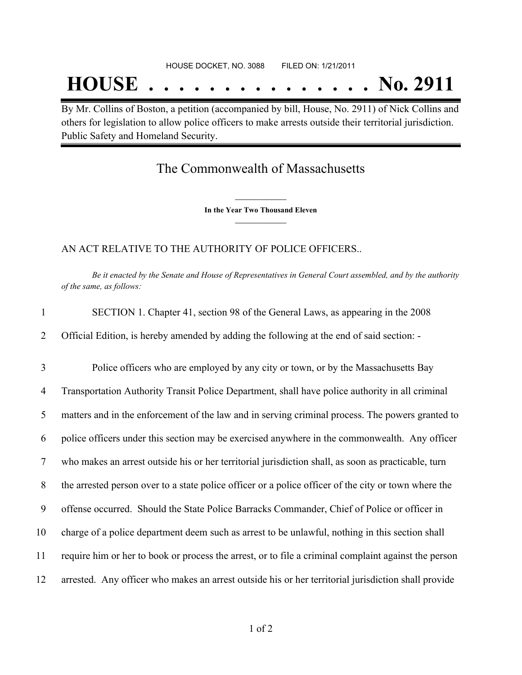## **HOUSE . . . . . . . . . . . . . . . No. 2911**

By Mr. Collins of Boston, a petition (accompanied by bill, House, No. 2911) of Nick Collins and others for legislation to allow police officers to make arrests outside their territorial jurisdiction. Public Safety and Homeland Security.

## The Commonwealth of Massachusetts

**\_\_\_\_\_\_\_\_\_\_\_\_\_\_\_ In the Year Two Thousand Eleven \_\_\_\_\_\_\_\_\_\_\_\_\_\_\_**

AN ACT RELATIVE TO THE AUTHORITY OF POLICE OFFICERS..

Be it enacted by the Senate and House of Representatives in General Court assembled, and by the authority *of the same, as follows:*

| $\mathbf{1}$   | SECTION 1. Chapter 41, section 98 of the General Laws, as appearing in the 2008                      |
|----------------|------------------------------------------------------------------------------------------------------|
| 2              | Official Edition, is hereby amended by adding the following at the end of said section: -            |
| 3              | Police officers who are employed by any city or town, or by the Massachusetts Bay                    |
| $\overline{4}$ | Transportation Authority Transit Police Department, shall have police authority in all criminal      |
| 5              | matters and in the enforcement of the law and in serving criminal process. The powers granted to     |
| 6              | police officers under this section may be exercised anywhere in the commonwealth. Any officer        |
| $\tau$         | who makes an arrest outside his or her territorial jurisdiction shall, as soon as practicable, turn  |
| 8              | the arrested person over to a state police officer or a police officer of the city or town where the |
| 9              | offense occurred. Should the State Police Barracks Commander, Chief of Police or officer in          |
| 10             | charge of a police department deem such as arrest to be unlawful, nothing in this section shall      |
| 11             | require him or her to book or process the arrest, or to file a criminal complaint against the person |
| 12             | arrested. Any officer who makes an arrest outside his or her territorial jurisdiction shall provide  |